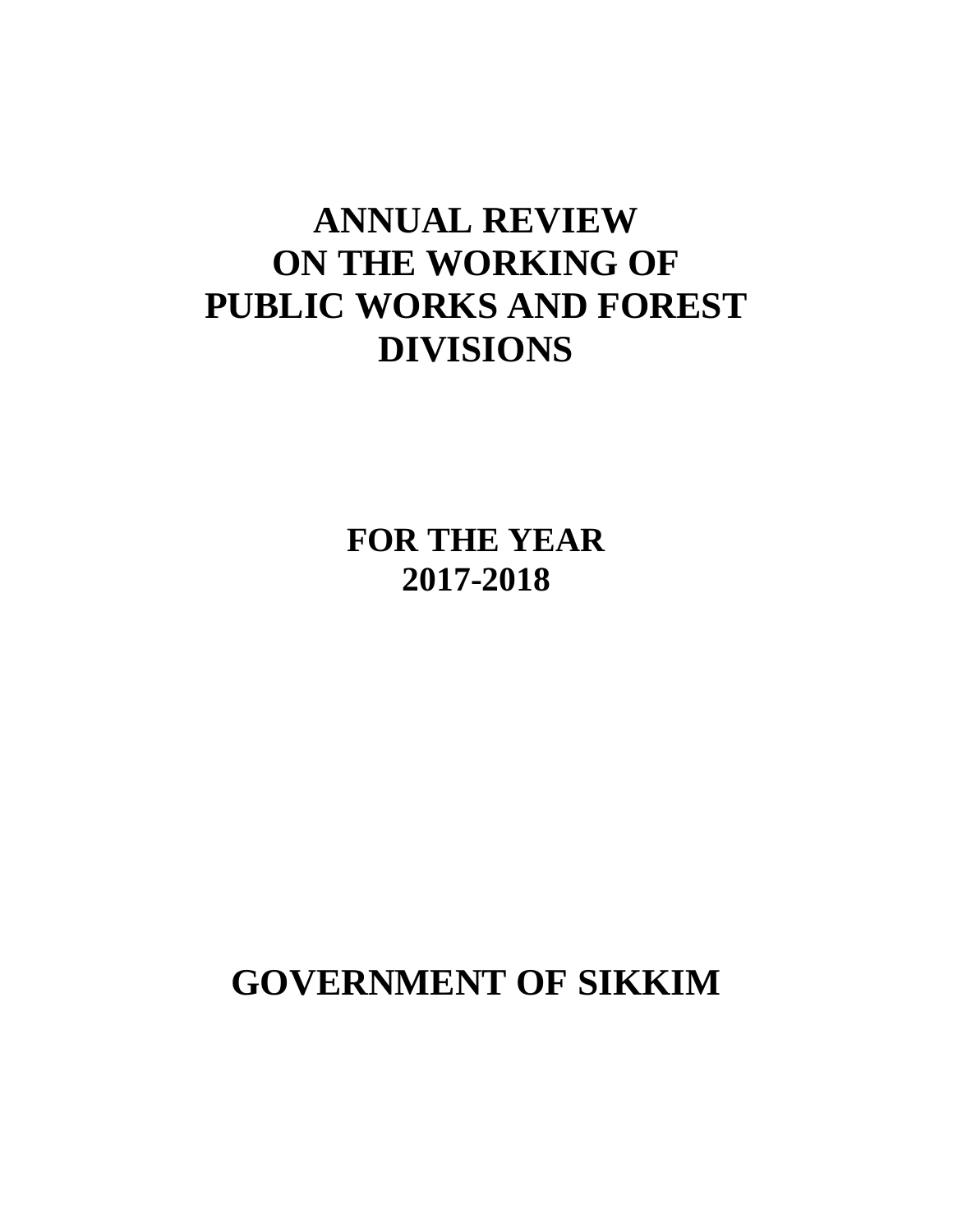# **ANNUAL REVIEW ON THE WORKING OF PUBLIC WORKS AND FOREST DIVISIONS**

**FOR THE YEAR 2017-2018**

**GOVERNMENT OF SIKKIM**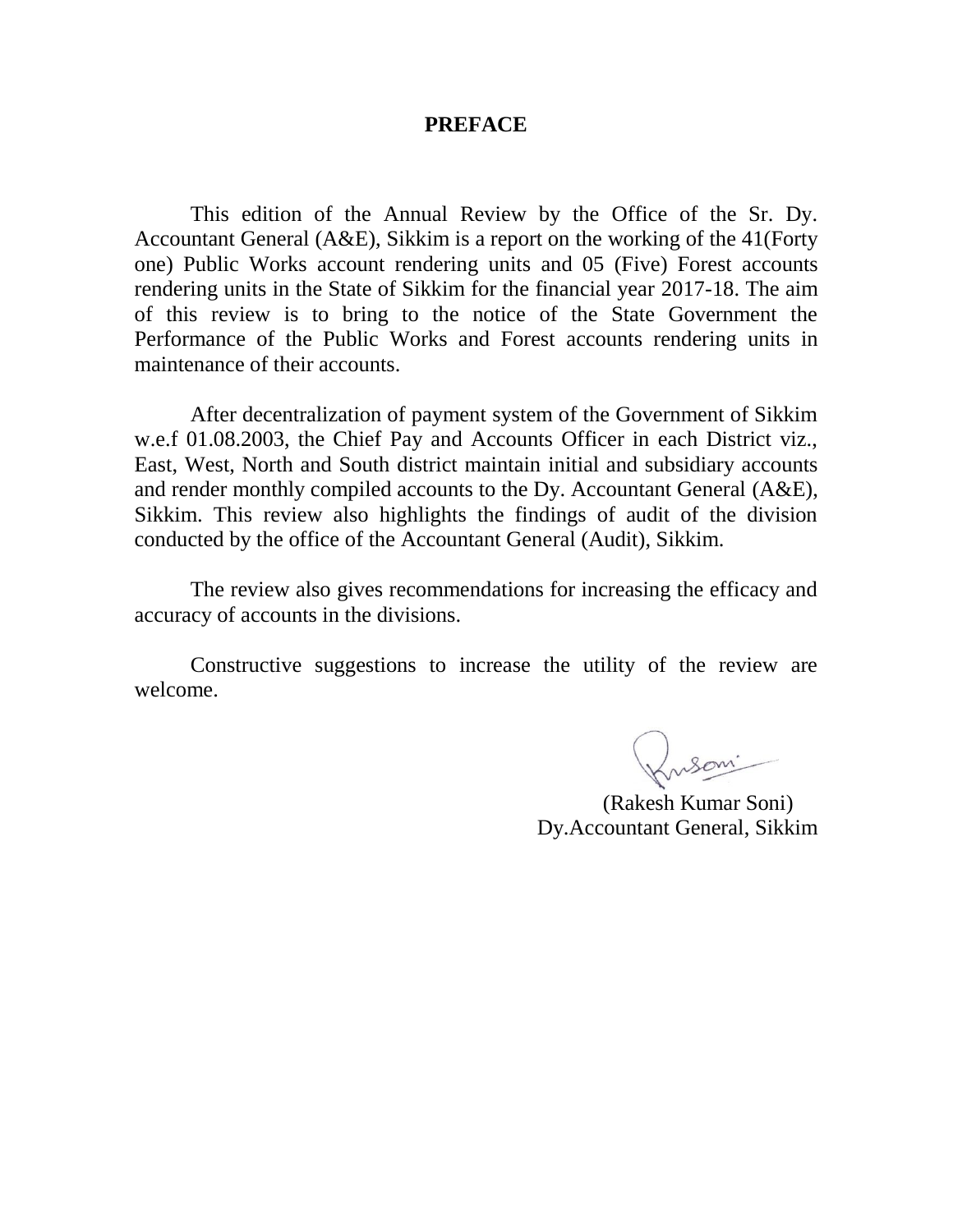#### **PREFACE**

This edition of the Annual Review by the Office of the Sr. Dy. Accountant General (A&E), Sikkim is a report on the working of the 41(Forty one) Public Works account rendering units and 05 (Five) Forest accounts rendering units in the State of Sikkim for the financial year 2017-18. The aim of this review is to bring to the notice of the State Government the Performance of the Public Works and Forest accounts rendering units in maintenance of their accounts.

After decentralization of payment system of the Government of Sikkim w.e.f 01.08.2003, the Chief Pay and Accounts Officer in each District viz., East, West, North and South district maintain initial and subsidiary accounts and render monthly compiled accounts to the Dy. Accountant General (A&E), Sikkim. This review also highlights the findings of audit of the division conducted by the office of the Accountant General (Audit), Sikkim.

The review also gives recommendations for increasing the efficacy and accuracy of accounts in the divisions.

Constructive suggestions to increase the utility of the review are welcome.

Kusoni

 (Rakesh Kumar Soni) Dy.Accountant General, Sikkim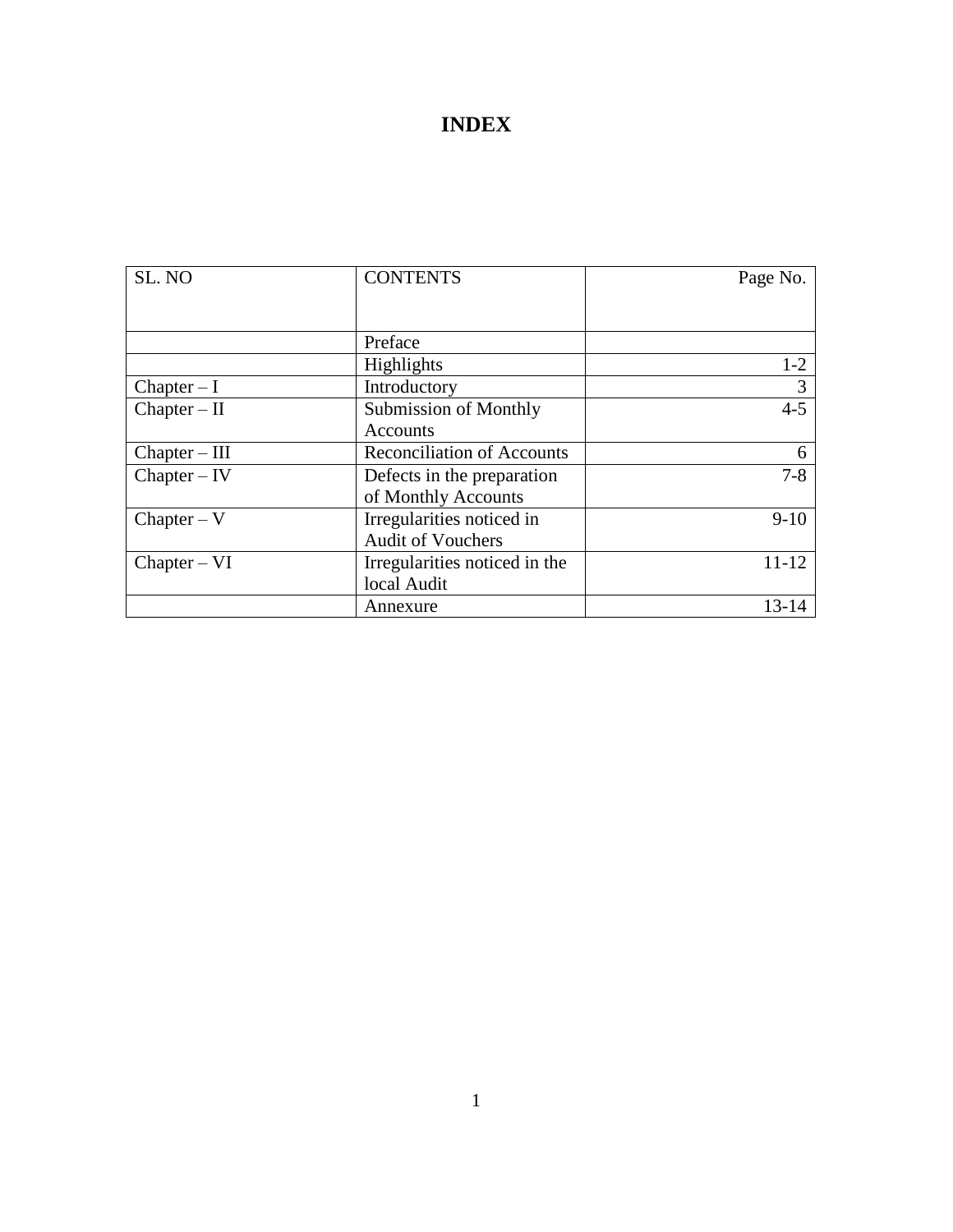## **INDEX**

| SL. NO          | <b>CONTENTS</b>                   | Page No.     |
|-----------------|-----------------------------------|--------------|
|                 |                                   |              |
|                 |                                   |              |
|                 | Preface                           |              |
|                 | Highlights                        | $1-2$        |
| $Chapter - I$   | Introductory                      | 3            |
| $Chapter - II$  | <b>Submission of Monthly</b>      | $4 - 5$      |
|                 | Accounts                          |              |
| $Chapter - III$ | <b>Reconciliation of Accounts</b> | <sub>0</sub> |
| $Chapter - IV$  | Defects in the preparation        | $7 - 8$      |
|                 | of Monthly Accounts               |              |
| $Chapter - V$   | Irregularities noticed in         | $9-10$       |
|                 | <b>Audit of Vouchers</b>          |              |
| $Chapter - VI$  | Irregularities noticed in the     | 11-12        |
|                 | local Audit                       |              |
|                 | Annexure                          | $13 - 14$    |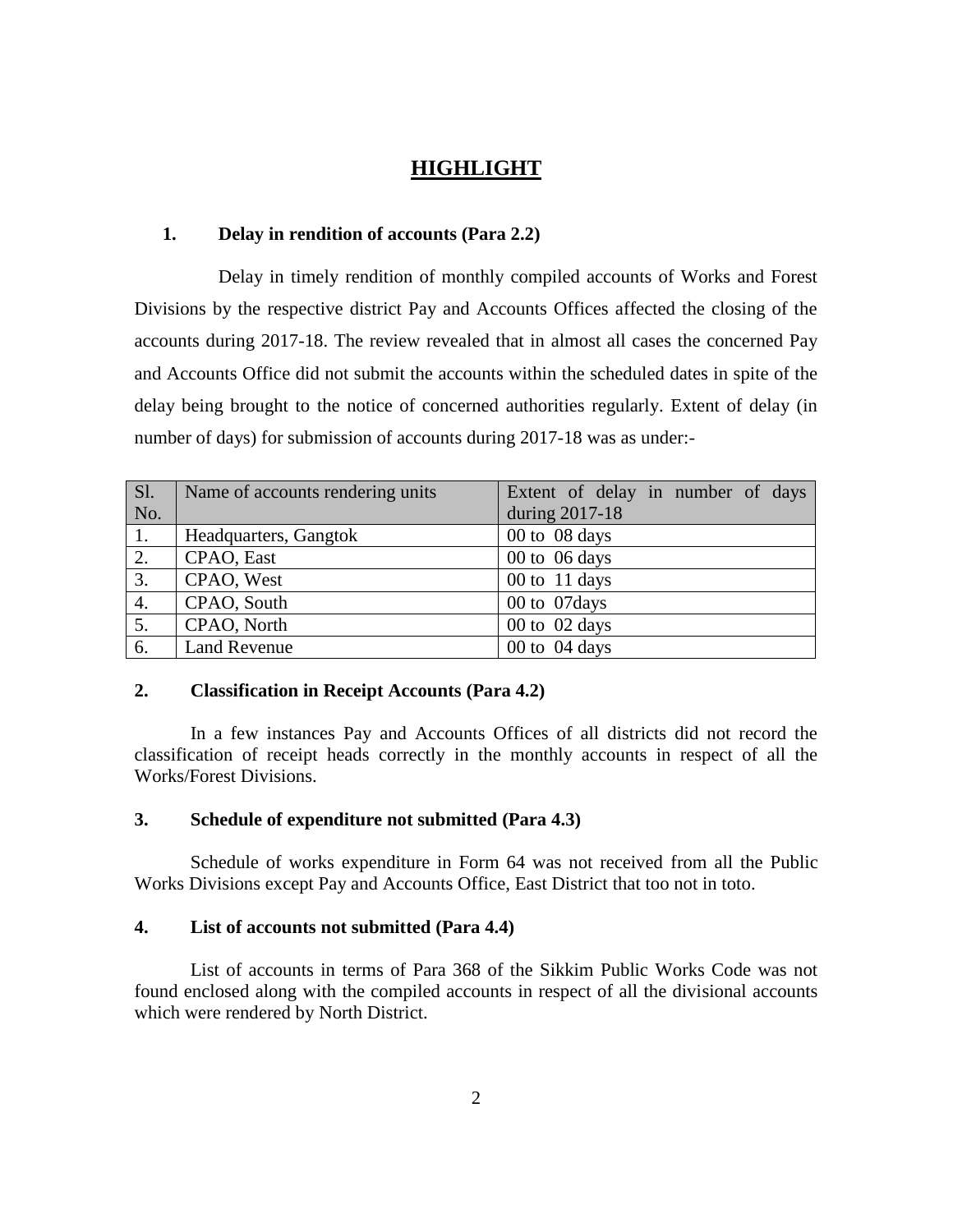### **HIGHLIGHT**

#### **1. Delay in rendition of accounts (Para 2.2)**

Delay in timely rendition of monthly compiled accounts of Works and Forest Divisions by the respective district Pay and Accounts Offices affected the closing of the accounts during 2017-18. The review revealed that in almost all cases the concerned Pay and Accounts Office did not submit the accounts within the scheduled dates in spite of the delay being brought to the notice of concerned authorities regularly. Extent of delay (in number of days) for submission of accounts during 2017-18 was as under:-

| SI. | Name of accounts rendering units | Extent of delay in number of days |
|-----|----------------------------------|-----------------------------------|
| No. |                                  | during 2017-18                    |
| 1.  | Headquarters, Gangtok            | 00 to 08 days                     |
| 2.  | CPAO, East                       | 00 to $06 \text{ days}$           |
| 3.  | CPAO, West                       | 00 to $11$ days                   |
| 4.  | CPAO, South                      | 00 to 07 days                     |
| 5.  | CPAO, North                      | 00 to 02 days                     |
| 6.  | <b>Land Revenue</b>              | 00 to 04 days                     |

#### **2. Classification in Receipt Accounts (Para 4.2)**

In a few instances Pay and Accounts Offices of all districts did not record the classification of receipt heads correctly in the monthly accounts in respect of all the Works/Forest Divisions.

#### **3. Schedule of expenditure not submitted (Para 4.3)**

Schedule of works expenditure in Form 64 was not received from all the Public Works Divisions except Pay and Accounts Office, East District that too not in toto.

#### **4. List of accounts not submitted (Para 4.4)**

List of accounts in terms of Para 368 of the Sikkim Public Works Code was not found enclosed along with the compiled accounts in respect of all the divisional accounts which were rendered by North District.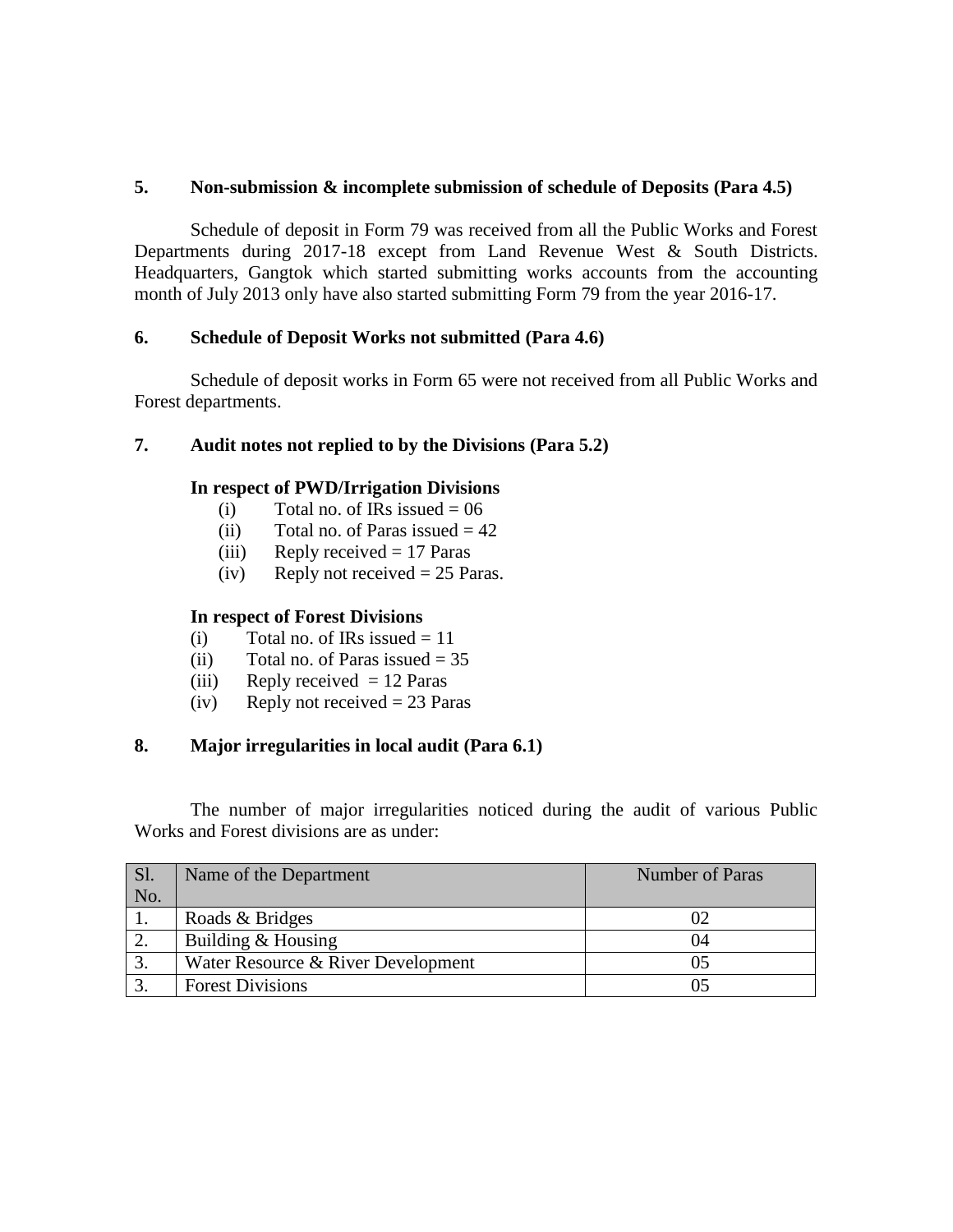#### **5. Non-submission & incomplete submission of schedule of Deposits (Para 4.5)**

Schedule of deposit in Form 79 was received from all the Public Works and Forest Departments during 2017-18 except from Land Revenue West & South Districts. Headquarters, Gangtok which started submitting works accounts from the accounting month of July 2013 only have also started submitting Form 79 from the year 2016-17.

#### **6. Schedule of Deposit Works not submitted (Para 4.6)**

Schedule of deposit works in Form 65 were not received from all Public Works and Forest departments.

#### **7. Audit notes not replied to by the Divisions (Para 5.2)**

#### **In respect of PWD/Irrigation Divisions**

- (i) Total no. of IRs issued  $= 06$
- (ii) Total no. of Paras issued  $= 42$
- (iii) Reply received  $= 17$  Paras
- (iv) Reply not received  $= 25$  Paras.

#### **In respect of Forest Divisions**

- (i) Total no. of IRs issued  $= 11$
- (ii) Total no. of Paras issued  $= 35$
- (iii) Reply received  $= 12$  Paras
- (iv) Reply not received  $= 23$  Paras

#### **8. Major irregularities in local audit (Para 6.1)**

The number of major irregularities noticed during the audit of various Public Works and Forest divisions are as under:

| <b>Sl.</b> | Name of the Department             | <b>Number of Paras</b> |
|------------|------------------------------------|------------------------|
| No.        |                                    |                        |
|            | Roads & Bridges                    |                        |
|            | Building & Housing                 | 04                     |
| 3.         | Water Resource & River Development |                        |
| $\bigcap$  | <b>Forest Divisions</b>            |                        |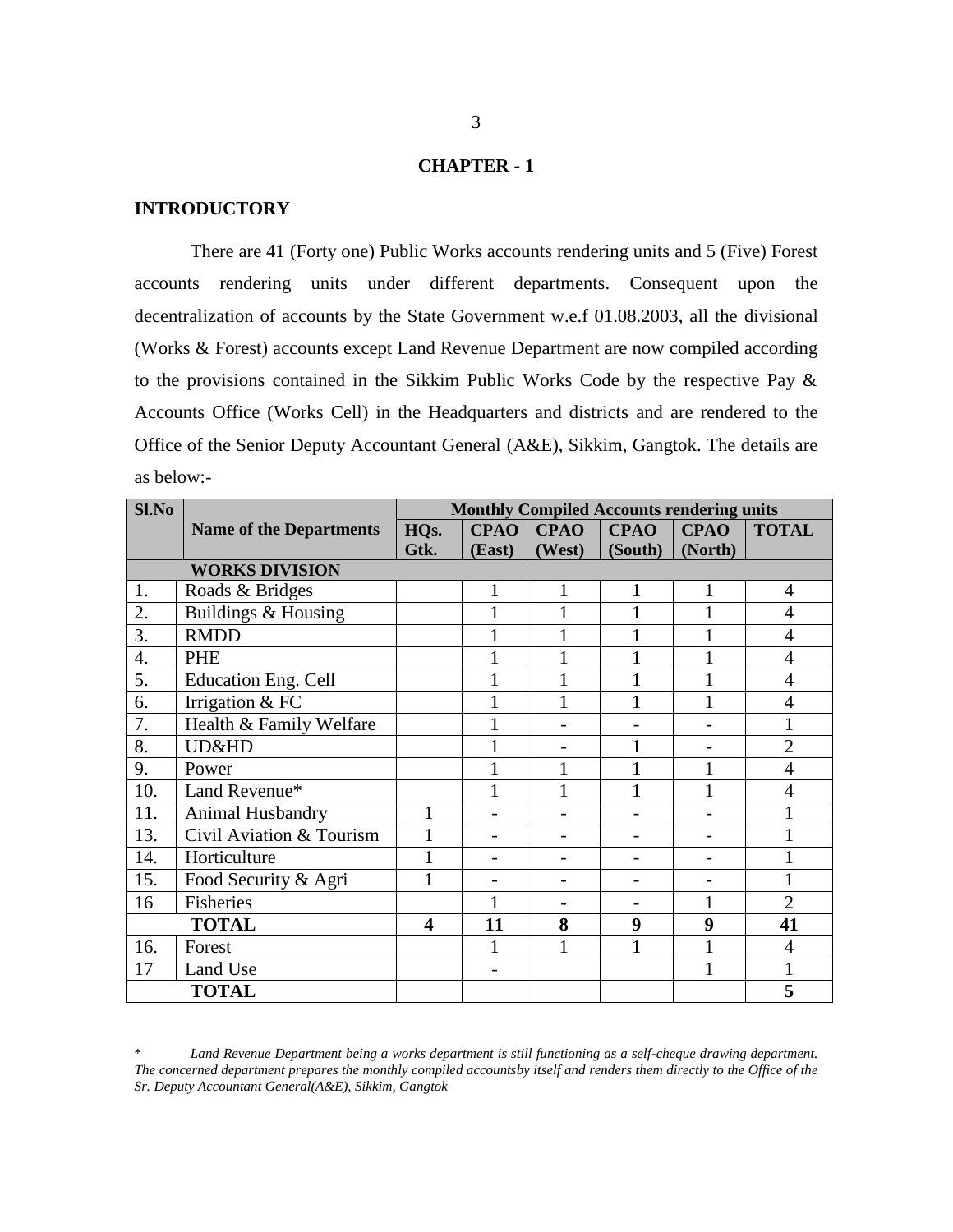#### **CHAPTER - 1**

#### **INTRODUCTORY**

There are 41 (Forty one) Public Works accounts rendering units and 5 (Five) Forest accounts rendering units under different departments. Consequent upon the decentralization of accounts by the State Government w.e.f 01.08.2003, all the divisional (Works & Forest) accounts except Land Revenue Department are now compiled according to the provisions contained in the Sikkim Public Works Code by the respective Pay & Accounts Office (Works Cell) in the Headquarters and districts and are rendered to the Office of the Senior Deputy Accountant General (A&E), Sikkim, Gangtok. The details are as below:-

| Sl.No |                                | <b>Monthly Compiled Accounts rendering units</b> |             |             |              |              |                |
|-------|--------------------------------|--------------------------------------------------|-------------|-------------|--------------|--------------|----------------|
|       | <b>Name of the Departments</b> | HQ <sub>s</sub> .                                | <b>CPAO</b> | <b>CPAO</b> | <b>CPAO</b>  | <b>CPAO</b>  | <b>TOTAL</b>   |
|       |                                | Gtk.                                             | (East)      | (West)      | (South)      | (North)      |                |
|       | <b>WORKS DIVISION</b>          |                                                  |             |             |              |              |                |
| 1.    | Roads & Bridges                |                                                  | 1           | 1           | 1            | 1            | 4              |
| 2.    | Buildings & Housing            |                                                  |             | 1           | 1            |              | $\overline{4}$ |
| 3.    | <b>RMDD</b>                    |                                                  |             |             |              |              | $\overline{4}$ |
| 4.    | PHE                            |                                                  |             |             |              |              | $\overline{4}$ |
| 5.    | <b>Education Eng. Cell</b>     |                                                  |             | 1           |              |              | $\overline{4}$ |
| 6.    | Irrigation & FC                |                                                  |             | 1           | $\mathbf{1}$ |              | $\overline{4}$ |
| 7.    | Health & Family Welfare        |                                                  |             |             |              |              | 1              |
| 8.    | UD&HD                          |                                                  |             |             |              |              | $\overline{2}$ |
| 9.    | Power                          |                                                  |             |             |              |              | $\overline{4}$ |
| 10.   | Land Revenue*                  |                                                  |             |             |              |              | $\overline{4}$ |
| 11.   | Animal Husbandry               | 1                                                |             |             |              |              |                |
| 13.   | Civil Aviation & Tourism       | $\mathbf{1}$                                     |             |             |              |              | $\mathbf{1}$   |
| 14.   | Horticulture                   | 1                                                |             |             |              |              |                |
| 15.   | Food Security & Agri           | 1                                                |             |             |              |              |                |
| 16    | Fisheries                      |                                                  |             |             |              | 1            | $\overline{2}$ |
|       | <b>TOTAL</b>                   | $\overline{\mathbf{4}}$                          | 11          | 8           | 9            | 9            | 41             |
| 16.   | Forest                         |                                                  |             | 1           | 1            |              | $\overline{4}$ |
| 17    | Land Use                       |                                                  |             |             |              | $\mathbf{1}$ | 1              |
|       | <b>TOTAL</b>                   |                                                  |             |             |              |              | 5              |

\* *Land Revenue Department being a works department is still functioning as a self-cheque drawing department. The concerned department prepares the monthly compiled accountsby itself and renders them directly to the Office of the Sr. Deputy Accountant General(A&E), Sikkim, Gangtok*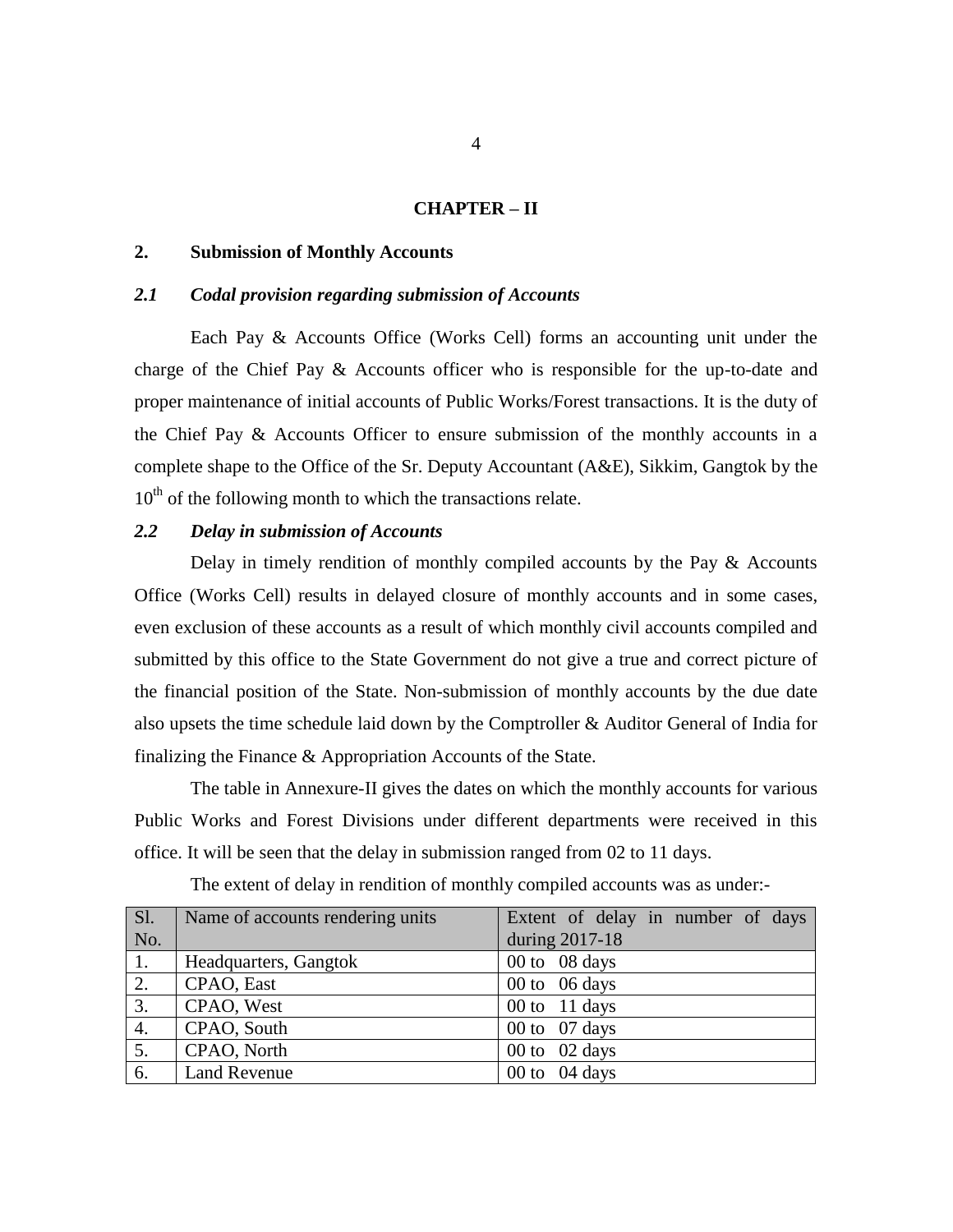#### **CHAPTER – II**

#### **2. Submission of Monthly Accounts**

#### *2.1 Codal provision regarding submission of Accounts*

Each Pay & Accounts Office (Works Cell) forms an accounting unit under the charge of the Chief Pay & Accounts officer who is responsible for the up-to-date and proper maintenance of initial accounts of Public Works/Forest transactions. It is the duty of the Chief Pay & Accounts Officer to ensure submission of the monthly accounts in a complete shape to the Office of the Sr. Deputy Accountant (A&E), Sikkim, Gangtok by the  $10<sup>th</sup>$  of the following month to which the transactions relate.

#### *2.2 Delay in submission of Accounts*

Delay in timely rendition of monthly compiled accounts by the Pay & Accounts Office (Works Cell) results in delayed closure of monthly accounts and in some cases, even exclusion of these accounts as a result of which monthly civil accounts compiled and submitted by this office to the State Government do not give a true and correct picture of the financial position of the State. Non-submission of monthly accounts by the due date also upsets the time schedule laid down by the Comptroller & Auditor General of India for finalizing the Finance & Appropriation Accounts of the State.

The table in Annexure-II gives the dates on which the monthly accounts for various Public Works and Forest Divisions under different departments were received in this office. It will be seen that the delay in submission ranged from 02 to 11 days.

| $S1$ . | Name of accounts rendering units | Extent of delay in number of days |
|--------|----------------------------------|-----------------------------------|
| No.    |                                  | during 2017-18                    |
| 1.     | Headquarters, Gangtok            | 00 to 08 days                     |
| 2.     | CPAO, East                       | 00 to $06 \text{ days}$           |
| 3.     | CPAO, West                       | 00 to $11$ days                   |
| 4.     | CPAO, South                      | 00 to $07$ days                   |
| 5.     | CPAO, North                      | 00 to $02$ days                   |
| 6.     | <b>Land Revenue</b>              | 00 to $04 \text{ days}$           |

The extent of delay in rendition of monthly compiled accounts was as under:-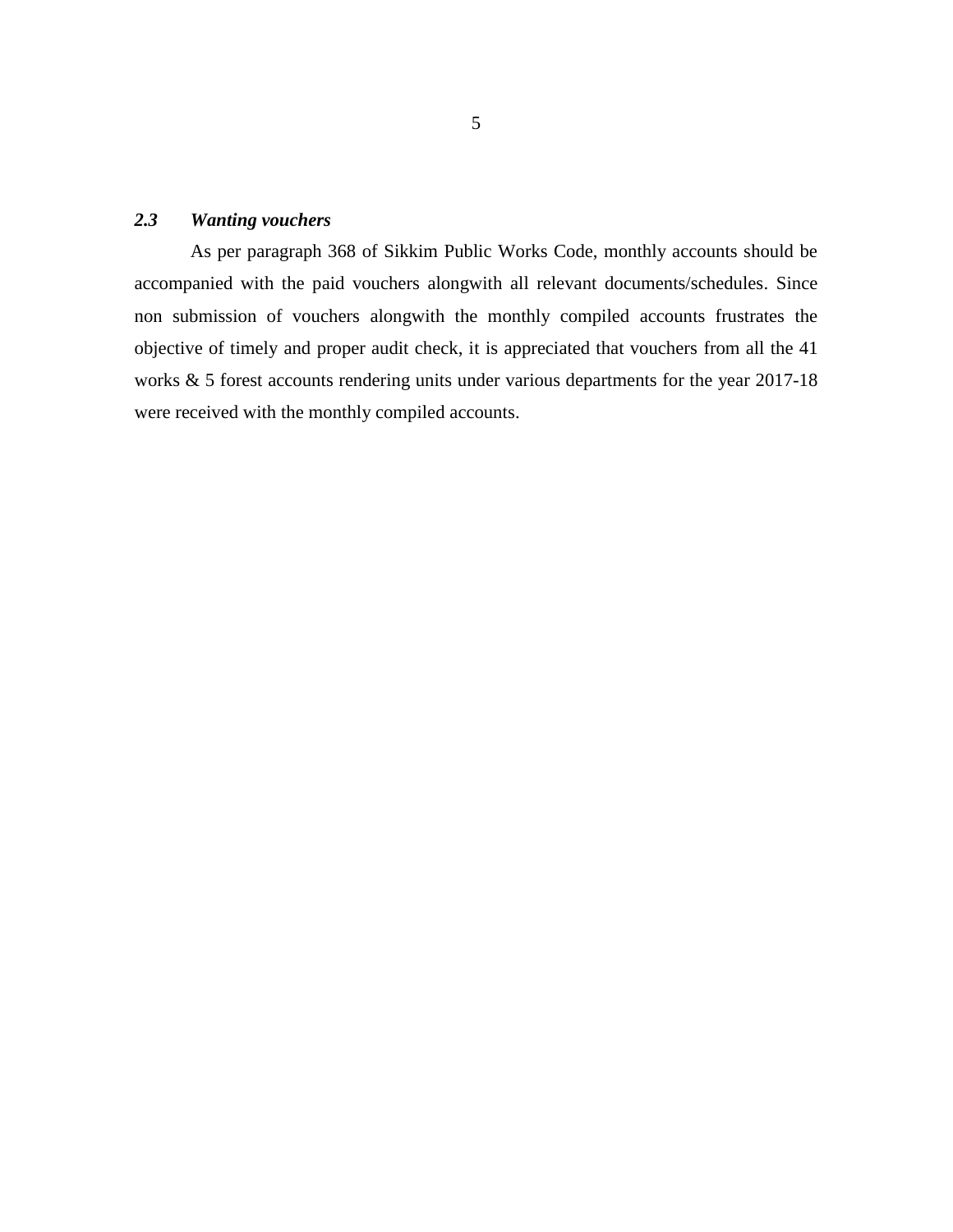#### *2.3 Wanting vouchers*

As per paragraph 368 of Sikkim Public Works Code, monthly accounts should be accompanied with the paid vouchers alongwith all relevant documents/schedules. Since non submission of vouchers alongwith the monthly compiled accounts frustrates the objective of timely and proper audit check, it is appreciated that vouchers from all the 41 works & 5 forest accounts rendering units under various departments for the year 2017-18 were received with the monthly compiled accounts.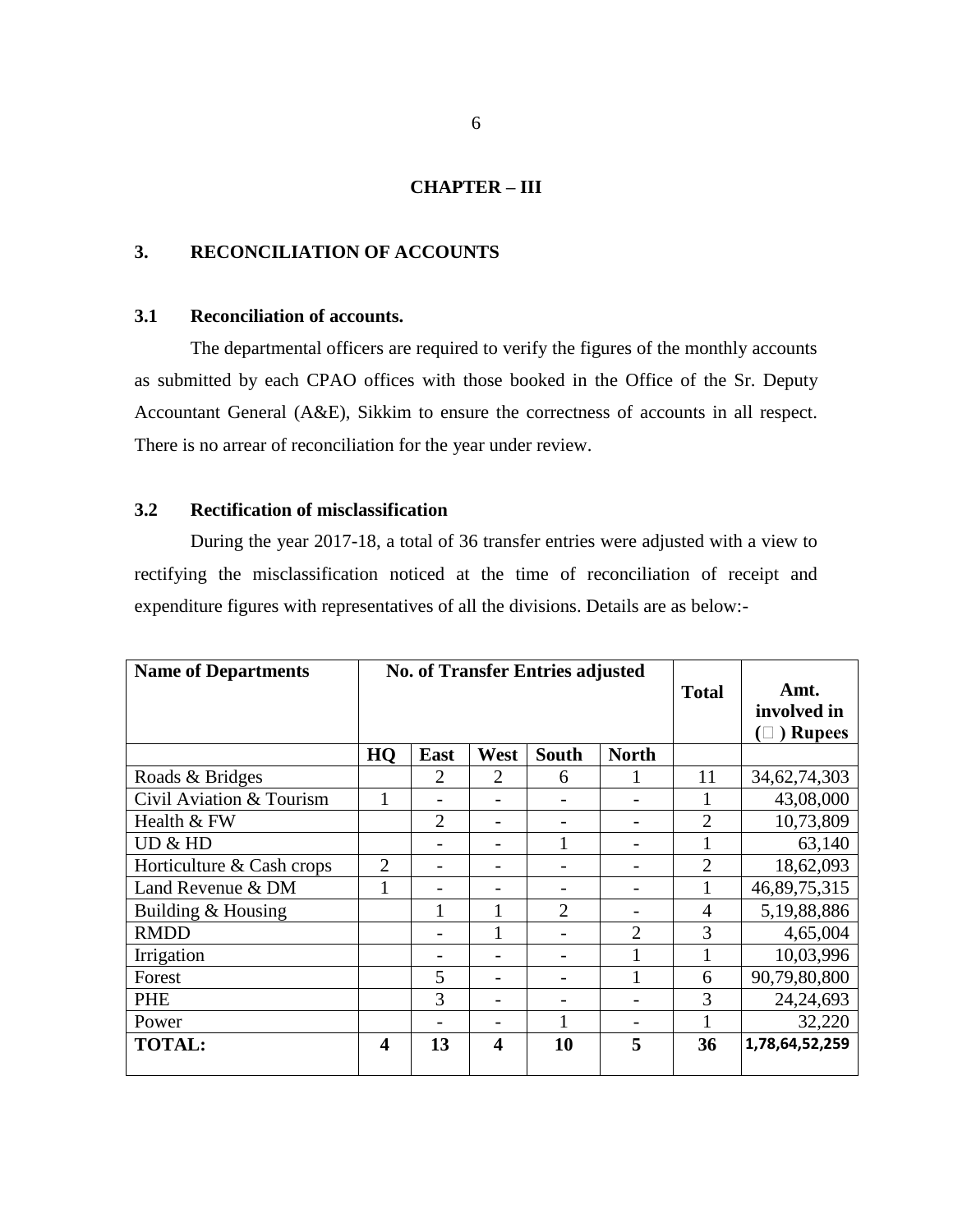#### **CHAPTER – III**

#### **3. RECONCILIATION OF ACCOUNTS**

#### **3.1 Reconciliation of accounts.**

The departmental officers are required to verify the figures of the monthly accounts as submitted by each CPAO offices with those booked in the Office of the Sr. Deputy Accountant General (A&E), Sikkim to ensure the correctness of accounts in all respect. There is no arrear of reconciliation for the year under review.

#### **3.2 Rectification of misclassification**

During the year 2017-18, a total of 36 transfer entries were adjusted with a view to rectifying the misclassification noticed at the time of reconciliation of receipt and expenditure figures with representatives of all the divisions. Details are as below:-

| <b>Name of Departments</b> | <b>No. of Transfer Entries adjusted</b> |                |      |                | <b>Total</b>   | Amt.           |                 |
|----------------------------|-----------------------------------------|----------------|------|----------------|----------------|----------------|-----------------|
|                            |                                         |                |      |                |                |                | involved in     |
|                            |                                         |                |      |                |                |                | ) Rupees<br>∪)  |
|                            | HQ                                      | East           | West | South          | <b>North</b>   |                |                 |
| Roads & Bridges            |                                         | 2              | 2    | 6              |                | 11             | 34, 62, 74, 303 |
| Civil Aviation & Tourism   | 1                                       |                |      |                |                |                | 43,08,000       |
| Health & FW                |                                         | $\overline{2}$ |      |                |                | 2              | 10,73,809       |
| UD & HD                    |                                         |                |      |                |                |                | 63,140          |
| Horticulture & Cash crops  | $\overline{2}$                          |                |      |                |                | $\overline{2}$ | 18,62,093       |
| Land Revenue & DM          | 1                                       |                |      |                |                |                | 46,89,75,315    |
| Building & Housing         |                                         |                |      | $\overline{2}$ |                | 4              | 5,19,88,886     |
| <b>RMDD</b>                |                                         |                |      |                | $\overline{2}$ | 3              | 4,65,004        |
| Irrigation                 |                                         |                |      |                |                |                | 10,03,996       |
| Forest                     |                                         | 5              |      |                |                | 6              | 90,79,80,800    |
| <b>PHE</b>                 |                                         | 3              |      |                |                | 3              | 24, 24, 693     |
| Power                      |                                         |                |      |                |                |                | 32,220          |
| <b>TOTAL:</b>              | 4                                       | 13             | 4    | 10             | 5              | 36             | 1,78,64,52,259  |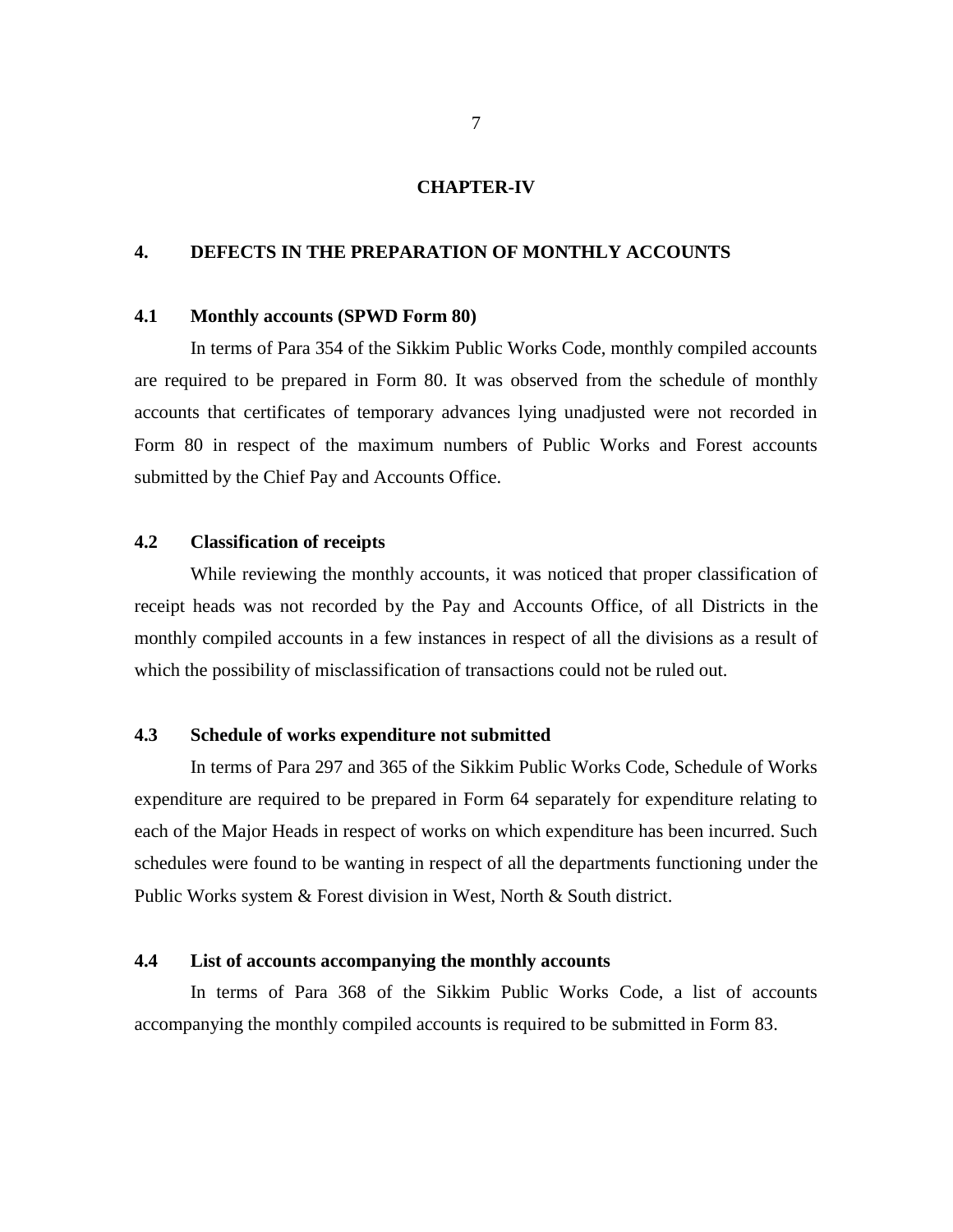#### **CHAPTER-IV**

#### **4. DEFECTS IN THE PREPARATION OF MONTHLY ACCOUNTS**

#### **4.1 Monthly accounts (SPWD Form 80)**

In terms of Para 354 of the Sikkim Public Works Code, monthly compiled accounts are required to be prepared in Form 80. It was observed from the schedule of monthly accounts that certificates of temporary advances lying unadjusted were not recorded in Form 80 in respect of the maximum numbers of Public Works and Forest accounts submitted by the Chief Pay and Accounts Office.

#### **4.2 Classification of receipts**

While reviewing the monthly accounts, it was noticed that proper classification of receipt heads was not recorded by the Pay and Accounts Office, of all Districts in the monthly compiled accounts in a few instances in respect of all the divisions as a result of which the possibility of misclassification of transactions could not be ruled out.

#### **4.3 Schedule of works expenditure not submitted**

In terms of Para 297 and 365 of the Sikkim Public Works Code, Schedule of Works expenditure are required to be prepared in Form 64 separately for expenditure relating to each of the Major Heads in respect of works on which expenditure has been incurred. Such schedules were found to be wanting in respect of all the departments functioning under the Public Works system & Forest division in West, North & South district.

#### **4.4 List of accounts accompanying the monthly accounts**

In terms of Para 368 of the Sikkim Public Works Code, a list of accounts accompanying the monthly compiled accounts is required to be submitted in Form 83.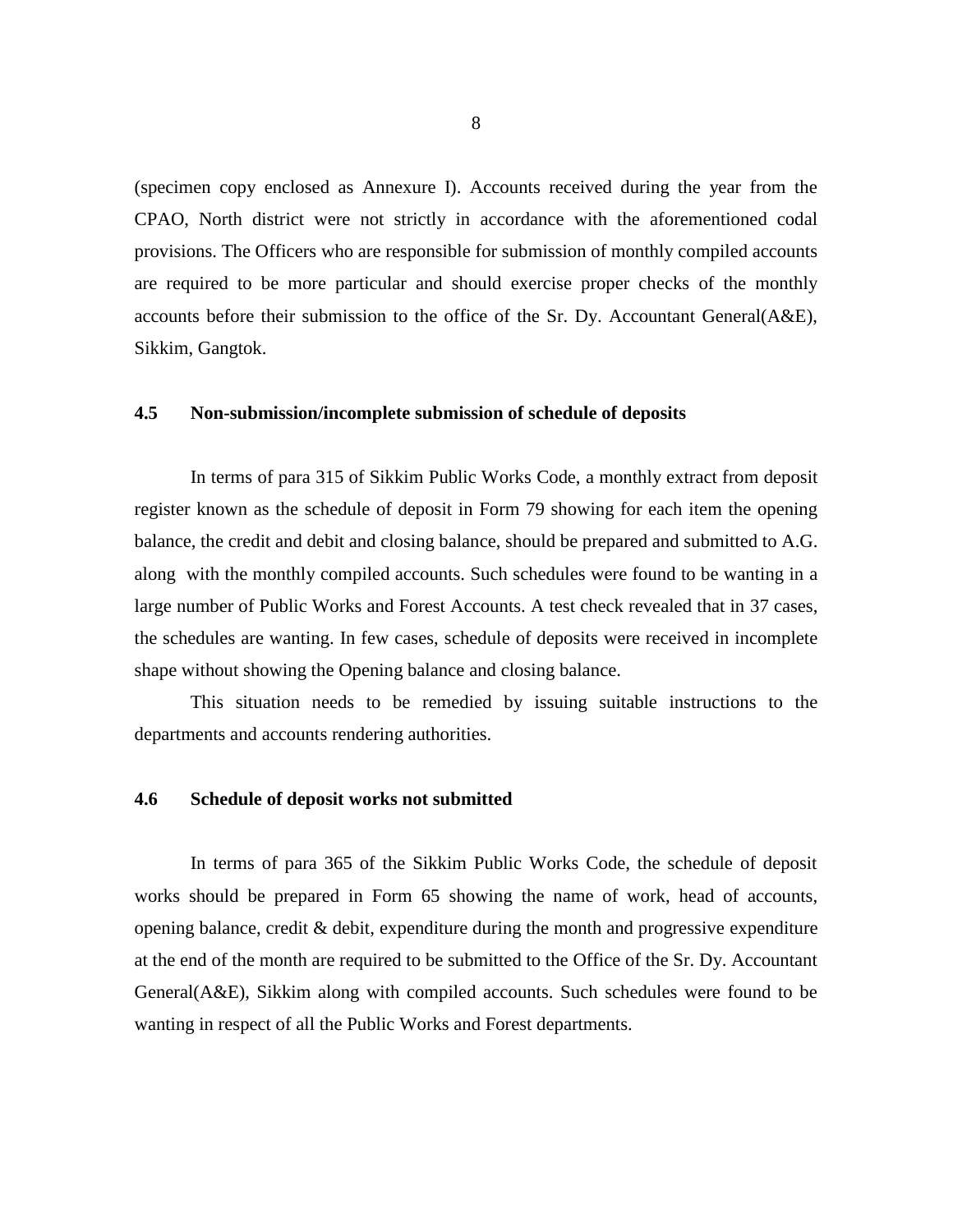(specimen copy enclosed as Annexure I). Accounts received during the year from the CPAO, North district were not strictly in accordance with the aforementioned codal provisions. The Officers who are responsible for submission of monthly compiled accounts are required to be more particular and should exercise proper checks of the monthly accounts before their submission to the office of the Sr. Dy. Accountant General(A&E), Sikkim, Gangtok.

#### **4.5 Non-submission/incomplete submission of schedule of deposits**

In terms of para 315 of Sikkim Public Works Code, a monthly extract from deposit register known as the schedule of deposit in Form 79 showing for each item the opening balance, the credit and debit and closing balance, should be prepared and submitted to A.G. along with the monthly compiled accounts. Such schedules were found to be wanting in a large number of Public Works and Forest Accounts. A test check revealed that in 37 cases, the schedules are wanting. In few cases, schedule of deposits were received in incomplete shape without showing the Opening balance and closing balance.

This situation needs to be remedied by issuing suitable instructions to the departments and accounts rendering authorities.

#### **4.6 Schedule of deposit works not submitted**

In terms of para 365 of the Sikkim Public Works Code, the schedule of deposit works should be prepared in Form 65 showing the name of work, head of accounts, opening balance, credit  $\&$  debit, expenditure during the month and progressive expenditure at the end of the month are required to be submitted to the Office of the Sr. Dy. Accountant General(A&E), Sikkim along with compiled accounts. Such schedules were found to be wanting in respect of all the Public Works and Forest departments.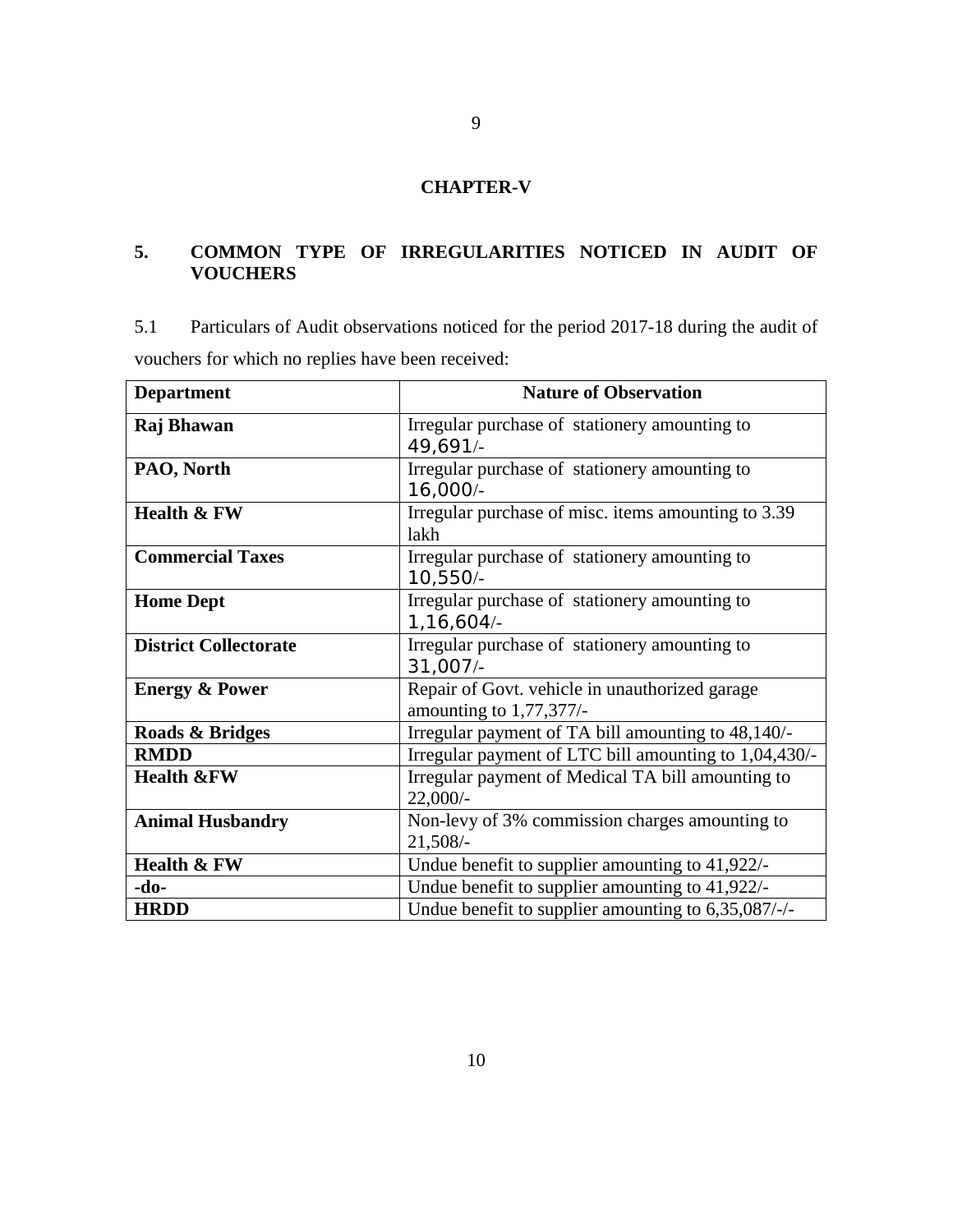### **CHAPTER-V**

### **5. COMMON TYPE OF IRREGULARITIES NOTICED IN AUDIT OF VOUCHERS**

5.1 Particulars of Audit observations noticed for the period 2017-18 during the audit of vouchers for which no replies have been received:

| <b>Department</b>            | <b>Nature of Observation</b>                                              |
|------------------------------|---------------------------------------------------------------------------|
| Raj Bhawan                   | Irregular purchase of stationery amounting to<br>49,691/-                 |
| PAO, North                   | Irregular purchase of stationery amounting to<br>16,000/-                 |
| <b>Health &amp; FW</b>       | Irregular purchase of misc. items amounting to 3.39<br>lakh               |
| <b>Commercial Taxes</b>      | Irregular purchase of stationery amounting to<br>10,550/-                 |
| <b>Home Dept</b>             | Irregular purchase of stationery amounting to<br>1,16,604/-               |
| <b>District Collectorate</b> | Irregular purchase of stationery amounting to<br>31,007/-                 |
| <b>Energy &amp; Power</b>    | Repair of Govt. vehicle in unauthorized garage<br>amounting to 1,77,377/- |
| Roads & Bridges              | Irregular payment of TA bill amounting to 48,140/-                        |
| <b>RMDD</b>                  | Irregular payment of LTC bill amounting to 1,04,430/-                     |
| <b>Health &amp;FW</b>        | Irregular payment of Medical TA bill amounting to<br>$22,000/-$           |
| <b>Animal Husbandry</b>      | Non-levy of 3% commission charges amounting to<br>$21,508/-$              |
| Health & FW                  | Undue benefit to supplier amounting to 41,922/-                           |
| -do-                         | Undue benefit to supplier amounting to 41,922/-                           |
| <b>HRDD</b>                  | Undue benefit to supplier amounting to 6,35,087/-/-                       |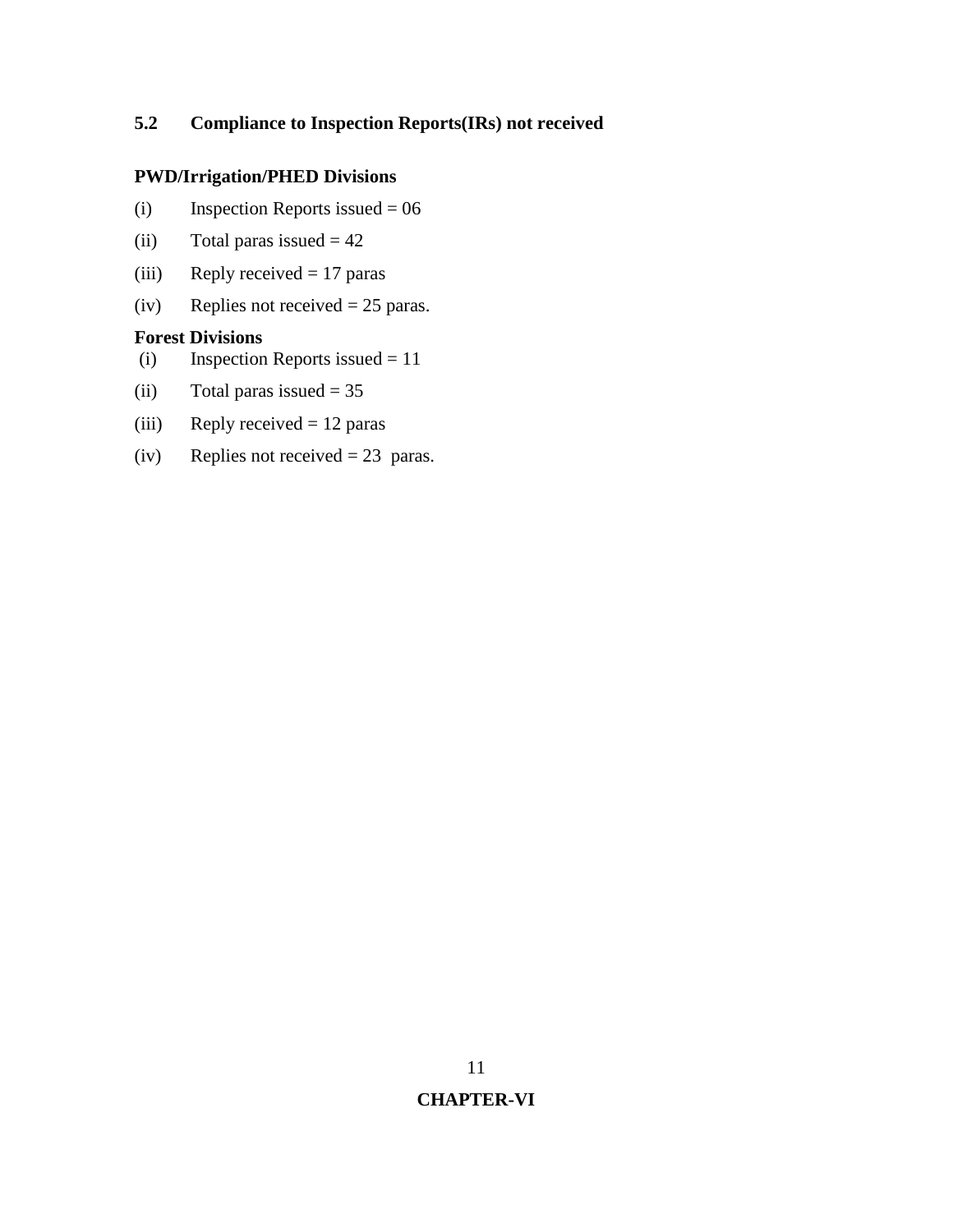### **5.2 Compliance to Inspection Reports(IRs) not received**

### **PWD/Irrigation/PHED Divisions**

- (i) Inspection Reports issued  $= 06$
- (ii) Total paras issued  $= 42$
- (iii) Reply received  $= 17$  paras
- (iv) Replies not received  $= 25$  paras.

#### **Forest Divisions**

- (i) Inspection Reports issued = 11
- (ii) Total paras issued  $= 35$
- (iii) Reply received  $= 12$  paras
- (iv) Replies not received = 23 paras.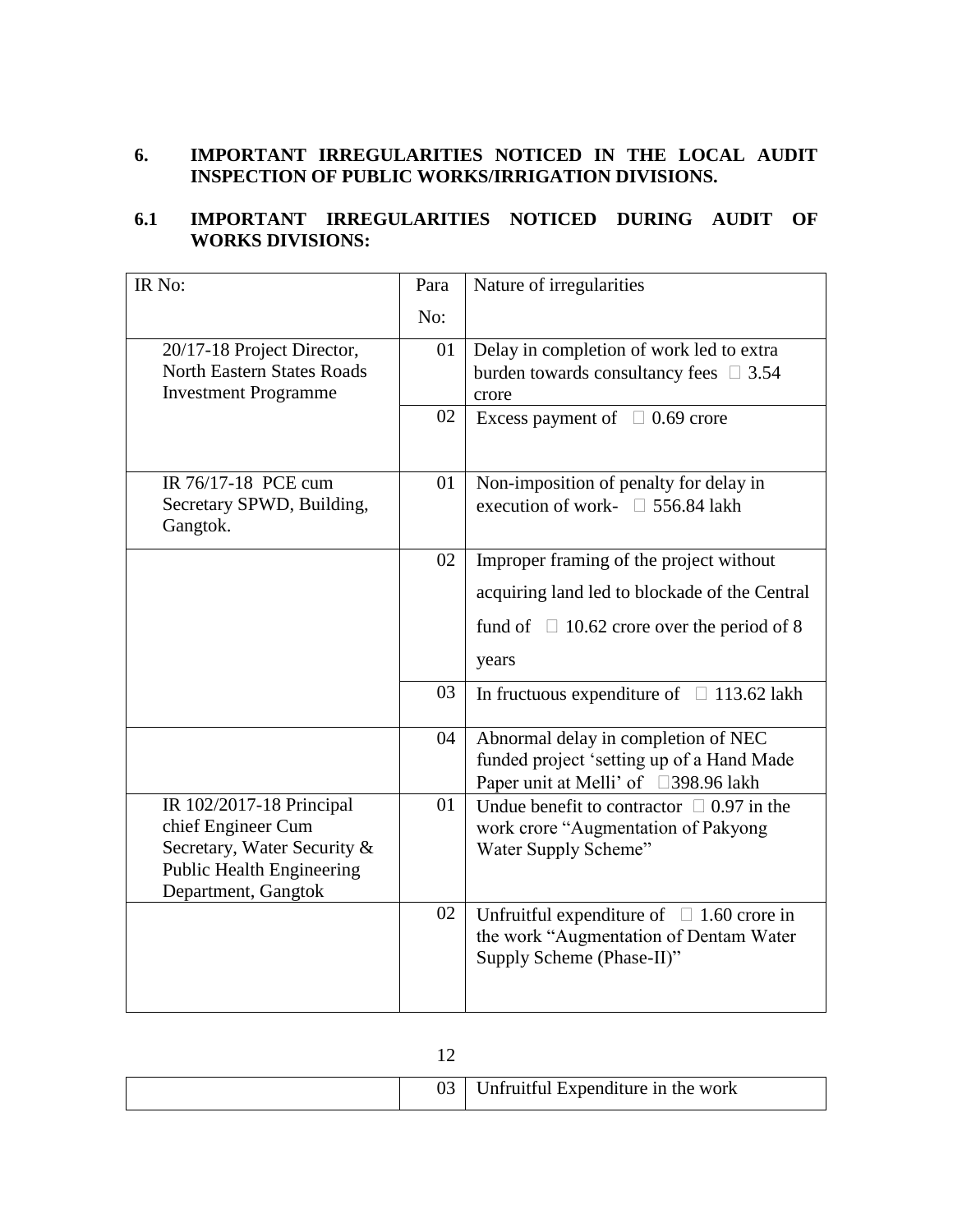### **6. IMPORTANT IRREGULARITIES NOTICED IN THE LOCAL AUDIT INSPECTION OF PUBLIC WORKS/IRRIGATION DIVISIONS.**

### **6.1 IMPORTANT IRREGULARITIES NOTICED DURING AUDIT OF WORKS DIVISIONS:**

| IR No:                                                           | Para | Nature of irregularities                                                          |
|------------------------------------------------------------------|------|-----------------------------------------------------------------------------------|
|                                                                  | No:  |                                                                                   |
| 20/17-18 Project Director,                                       | 01   | Delay in completion of work led to extra                                          |
| <b>North Eastern States Roads</b><br><b>Investment Programme</b> |      | burden towards consultancy fees $\Box$ 3.54<br>crore                              |
|                                                                  | 02   | Excess payment of $\Box$ 0.69 crore                                               |
|                                                                  |      |                                                                                   |
| IR 76/17-18 PCE cum                                              | 01   | Non-imposition of penalty for delay in                                            |
| Secretary SPWD, Building,<br>Gangtok.                            |      | execution of work- $\Box$ 556.84 lakh                                             |
|                                                                  | 02   | Improper framing of the project without                                           |
|                                                                  |      | acquiring land led to blockade of the Central                                     |
|                                                                  |      | fund of $\Box$ 10.62 crore over the period of 8                                   |
|                                                                  |      | years                                                                             |
|                                                                  | 03   | In fructuous expenditure of $\Box$ 113.62 lakh                                    |
|                                                                  | 04   | Abnormal delay in completion of NEC                                               |
|                                                                  |      | funded project 'setting up of a Hand Made<br>Paper unit at Melli' of □398.96 lakh |
| IR 102/2017-18 Principal                                         | 01   | Undue benefit to contractor $\Box$ 0.97 in the                                    |
| chief Engineer Cum<br>Secretary, Water Security &                |      | work crore "Augmentation of Pakyong<br>Water Supply Scheme"                       |
| <b>Public Health Engineering</b>                                 |      |                                                                                   |
| Department, Gangtok                                              | 02   | Unfruitful expenditure of $\Box$ 1.60 crore in                                    |
|                                                                  |      | the work "Augmentation of Dentam Water                                            |
|                                                                  |      | Supply Scheme (Phase-II)"                                                         |
|                                                                  |      |                                                                                   |

|  | Unfruitful Expenditure in the work |
|--|------------------------------------|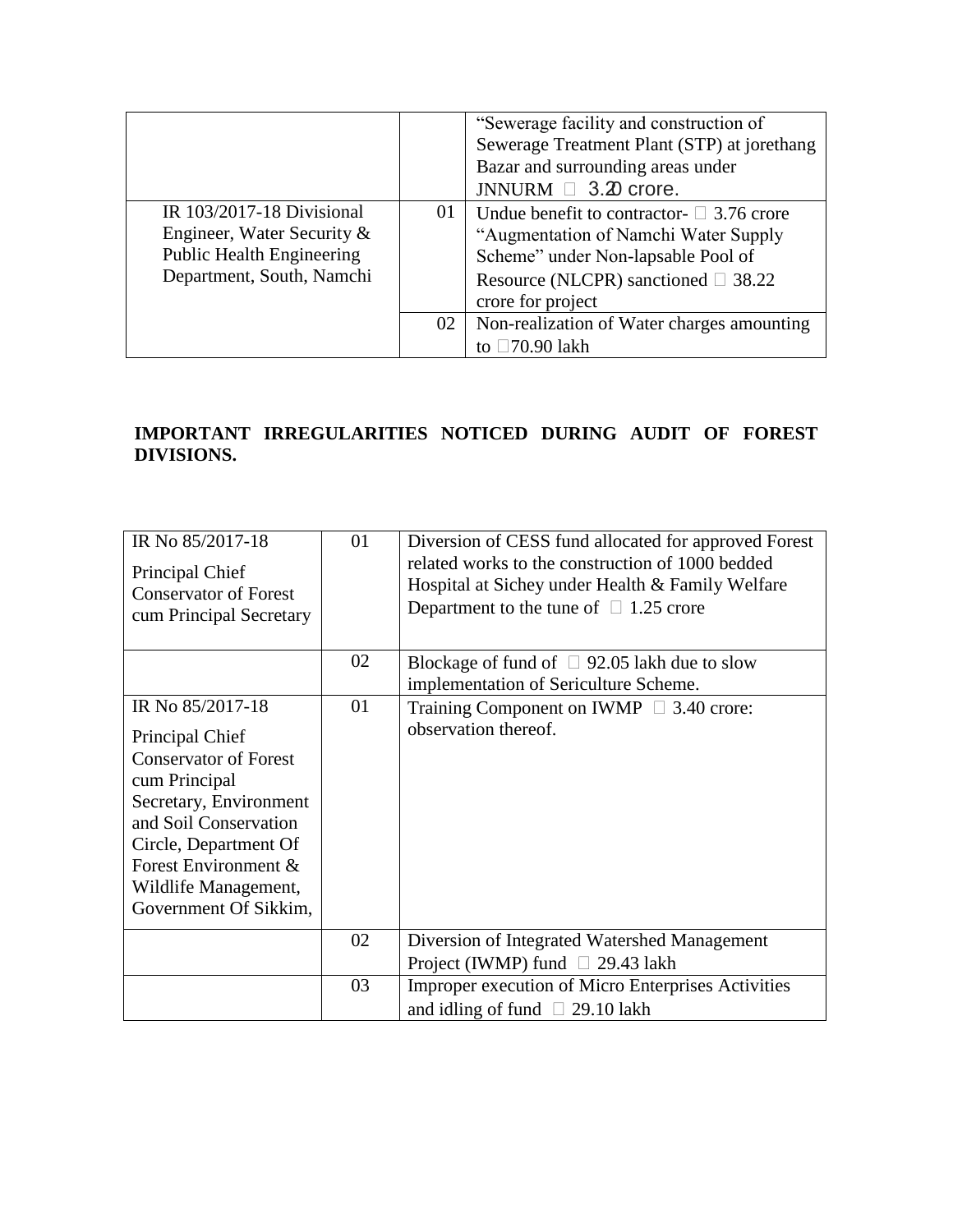|                                                                                                                          |    | "Sewerage facility and construction of<br>Sewerage Treatment Plant (STP) at jorethang<br>Bazar and surrounding areas under<br>JNNURM $\Box$ 3.20 crore.                                       |
|--------------------------------------------------------------------------------------------------------------------------|----|-----------------------------------------------------------------------------------------------------------------------------------------------------------------------------------------------|
| IR 103/2017-18 Divisional<br>Engineer, Water Security &<br><b>Public Health Engineering</b><br>Department, South, Namchi | 01 | Undue benefit to contractor- $\Box$ 3.76 crore<br>"Augmentation of Namchi Water Supply<br>Scheme" under Non-lapsable Pool of<br>Resource (NLCPR) sanctioned $\Box$ 38.22<br>crore for project |
|                                                                                                                          | 02 | Non-realization of Water charges amounting<br>to $\square$ 70.90 lakh                                                                                                                         |

### **IMPORTANT IRREGULARITIES NOTICED DURING AUDIT OF FOREST DIVISIONS.**

| IR No 85/2017-18<br>Principal Chief<br><b>Conservator of Forest</b><br>cum Principal Secretary                                                                                                                                            | 01 | Diversion of CESS fund allocated for approved Forest<br>related works to the construction of 1000 bedded<br>Hospital at Sichey under Health & Family Welfare<br>Department to the tune of $\Box$ 1.25 crore |
|-------------------------------------------------------------------------------------------------------------------------------------------------------------------------------------------------------------------------------------------|----|-------------------------------------------------------------------------------------------------------------------------------------------------------------------------------------------------------------|
|                                                                                                                                                                                                                                           | 02 | Blockage of fund of $\Box$ 92.05 lakh due to slow<br>implementation of Sericulture Scheme.                                                                                                                  |
| IR No 85/2017-18<br>Principal Chief<br><b>Conservator of Forest</b><br>cum Principal<br>Secretary, Environment<br>and Soil Conservation<br>Circle, Department Of<br>Forest Environment &<br>Wildlife Management,<br>Government Of Sikkim, | 01 | Training Component on IWMP $\Box$ 3.40 crore:<br>observation thereof.                                                                                                                                       |
|                                                                                                                                                                                                                                           | 02 | Diversion of Integrated Watershed Management<br>Project (IWMP) fund $\Box$ 29.43 lakh                                                                                                                       |
|                                                                                                                                                                                                                                           | 03 | <b>Improper execution of Micro Enterprises Activities</b><br>and idling of fund $\Box$ 29.10 lakh                                                                                                           |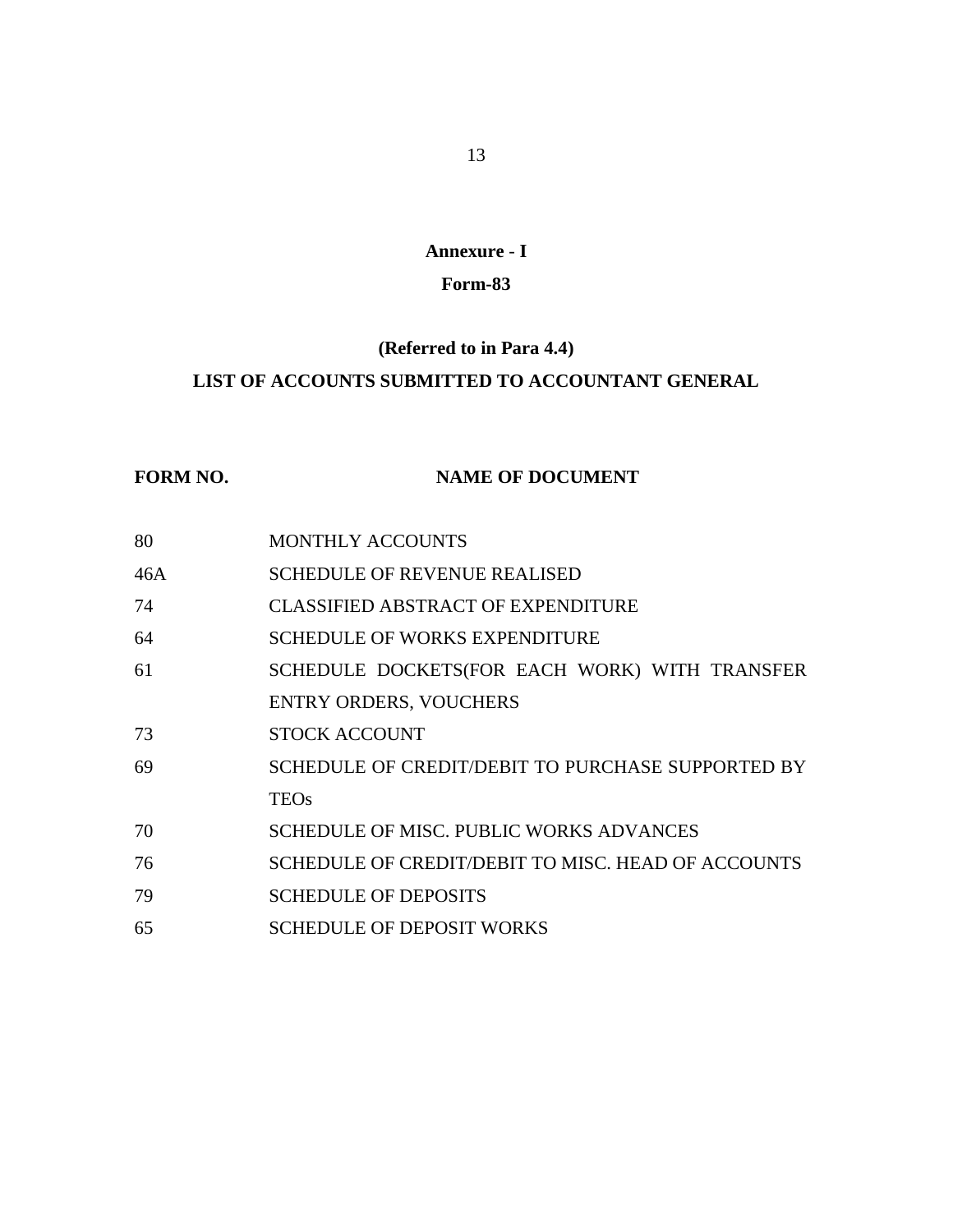### **Annexure** - **I**

### **Form-83**

### **(Referred to in Para 4.4)**

### **LIST OF ACCOUNTS SUBMITTED TO ACCOUNTANT GENERAL**

### **FORM NO. NAME OF DOCUMENT**

| 80  | <b>MONTHLY ACCOUNTS</b>                            |
|-----|----------------------------------------------------|
| 46A | <b>SCHEDULE OF REVENUE REALISED</b>                |
| 74  | CLASSIFIED ABSTRACT OF EXPENDITURE                 |
| 64  | <b>SCHEDULE OF WORKS EXPENDITURE</b>               |
| 61  | SCHEDULE DOCKETS(FOR EACH WORK) WITH TRANSFER      |
|     | <b>ENTRY ORDERS, VOUCHERS</b>                      |
| 73  | <b>STOCK ACCOUNT</b>                               |
| 69  | SCHEDULE OF CREDIT/DEBIT TO PURCHASE SUPPORTED BY  |
|     | <b>TEOs</b>                                        |
| 70  | <b>SCHEDULE OF MISC. PUBLIC WORKS ADVANCES</b>     |
| 76  | SCHEDULE OF CREDIT/DEBIT TO MISC. HEAD OF ACCOUNTS |
| 79  | <b>SCHEDULE OF DEPOSITS</b>                        |
| 65  | <b>SCHEDULE OF DEPOSIT WORKS</b>                   |